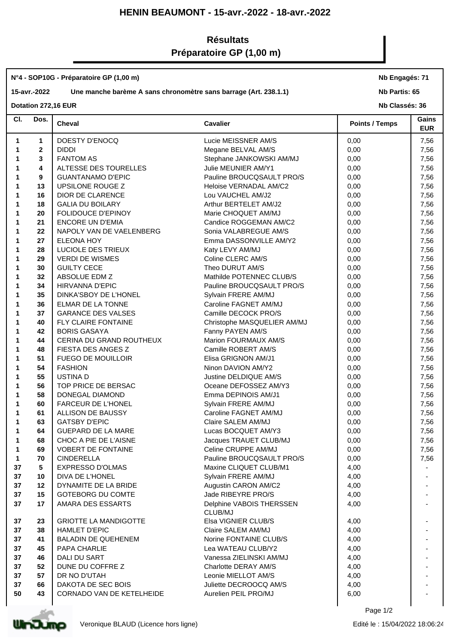# **HENIN BEAUMONT - 15-avr.-2022 - 18-avr.-2022**

# **Résultats Préparatoire GP (1,00 m)**

### **N°4 - SOP10G - Préparatoire GP (1,00 m)**

## **15-avr.-2022 Une manche barème A sans chronomètre sans barrage (Art. 238.1.1)**

**Nb Engagés: 71**

**Nb Partis: 65**

### **Dotation 272,16 EUR**

**Nb Classés: 36** 

| CI. | Dos.         | <b>Cheval</b>                | <b>Cavalier</b>                     | <b>Points / Temps</b> | Gains<br><b>EUR</b> |
|-----|--------------|------------------------------|-------------------------------------|-----------------------|---------------------|
| 1   | $\mathbf{1}$ | DOESTY D'ENOCQ               | Lucie MEISSNER AM/S                 | 0,00                  | 7,56                |
| 1   | $\mathbf{2}$ | <b>DIDDI</b>                 | Megane BELVAL AM/S                  | 0,00                  | 7,56                |
| 1   | 3            | <b>FANTOM AS</b>             | Stephane JANKOWSKI AM/MJ            | 0,00                  | 7,56                |
|     | 4            | ALTESSE DES TOURELLES        | Julie MEUNIER AM/Y1                 | 0,00                  | 7,56                |
| 1   | 9            | <b>GUANTANAMO D'EPIC</b>     | Pauline BROUCQSAULT PRO/S           | 0,00                  | 7,56                |
| 1   | 13           | UPSILONE ROUGE Z             | Heloise VERNADAL AM/C2              | 0,00                  | 7,56                |
| 1   | 16           | DIOR DE CLARENCE             | Lou VAUCHEL AM/J2                   | 0,00                  | 7,56                |
| 1   | 18           | <b>GALIA DU BOILARY</b>      | Arthur BERTELET AM/J2               | 0,00                  | 7,56                |
| 1   | 20           | FOLIDOUCE D'EPINOY           | Marie CHOQUET AM/MJ                 | 0,00                  | 7,56                |
| 1   | 21           | <b>ENCORE UN D'EMIA</b>      | Candice ROGGEMAN AM/C2              | 0,00                  | 7,56                |
| 1   | 22           | NAPOLY VAN DE VAELENBERG     | Sonia VALABREGUE AM/S               | 0,00                  | 7,56                |
| 1   | 27           | ELEONA HOY                   | Emma DASSONVILLE AM/Y2              | 0,00                  | 7,56                |
| 1   | 28           | LUCIOLE DES TRIEUX           | Katy LEVY AM/MJ                     | 0,00                  | 7,56                |
| 1   | 29           | <b>VERDI DE WISMES</b>       | Coline CLERC AM/S                   | 0,00                  | 7,56                |
| 1   | 30           | <b>GUILTY CECE</b>           | Theo DURUT AM/S                     | 0,00                  | 7,56                |
| 1   | 32           | ABSOLUE EDM Z                | Mathilde POTENNEC CLUB/S            | 0,00                  | 7,56                |
| 1   | 34           | <b>HIRVANNA D'EPIC</b>       | Pauline BROUCQSAULT PRO/S           | 0,00                  | 7,56                |
| 1   | 35           | DINKA'SBOY DE L'HONEL        | Sylvain FRERE AM/MJ                 | 0,00                  | 7,56                |
| 1   | 36           | ELMAR DE LA TONNE            | Caroline FAGNET AM/MJ               | 0,00                  | 7,56                |
| 1   | 37           | <b>GARANCE DES VALSES</b>    | Camille DECOCK PRO/S                | 0,00                  | 7,56                |
| 1   | 40           | FLY CLAIRE FONTAINE          | Christophe MASQUELIER AM/MJ         | 0,00                  | 7,56                |
| 1   | 42           | <b>BORIS GASAYA</b>          | Fanny PAYEN AM/S                    | 0,00                  | 7,56                |
| 1   | 44           | CERINA DU GRAND ROUTHEUX     | Marion FOURMAUX AM/S                | 0,00                  | 7,56                |
| 1   | 48           | FIESTA DES ANGES Z           | Camille ROBERT AM/S                 | 0,00                  | 7,56                |
| 1   | 51           | <b>FUEGO DE MOUILLOIR</b>    | Elisa GRIGNON AM/J1                 | 0,00                  | 7,56                |
| 1   | 54           | <b>FASHION</b>               | Ninon DAVION AM/Y2                  | 0,00                  | 7,56                |
| 1   | 55           | <b>USTINAD</b>               | Justine DELDIQUE AM/S               | 0,00                  | 7,56                |
| 1   | 56           | TOP PRICE DE BERSAC          | Oceane DEFOSSEZ AM/Y3               | 0,00                  | 7,56                |
| 1   | 58           | DONEGAL DIAMOND              | Emma DEPINOIS AM/J1                 | 0,00                  | 7,56                |
| 1   | 60           | <b>FARCEUR DE L'HONEL</b>    | Sylvain FRERE AM/MJ                 | 0,00                  | 7,56                |
| 1   | 61           | ALLISON DE BAUSSY            | Caroline FAGNET AM/MJ               | 0,00                  | 7,56                |
| 1   | 63           | <b>GATSBY D'EPIC</b>         | Claire SALEM AM/MJ                  | 0,00                  | 7,56                |
| 1   | 64           | <b>GUEPARD DE LA MARE</b>    | Lucas BOCQUET AM/Y3                 | 0,00                  | 7,56                |
| 1   | 68           | CHOC A PIE DE L'AISNE        | Jacques TRAUET CLUB/MJ              | 0,00                  | 7,56                |
| 1   | 69           | <b>VOBERT DE FONTAINE</b>    | Celine CRUPPE AM/MJ                 | 0,00                  | 7,56                |
| 1.  | 70           | <b>CINDERELLA</b>            | Pauline BROUCQSAULT PRO/S           | 0,00                  | 7,56                |
| 37  | 5            | <b>EXPRESSO D'OLMAS</b>      | Maxine CLIQUET CLUB/M1              | 4,00                  |                     |
| 37  | 10           | DIVA DE L'HONEL              | Sylvain FRERE AM/MJ                 | 4,00                  |                     |
| 37  | 12           | DYNAMITE DE LA BRIDE         | Augustin CARON AM/C2                | 4,00                  |                     |
| 37  | 15           | <b>GOTEBORG DU COMTE</b>     | Jade RIBEYRE PRO/S                  | 4,00                  |                     |
| 37  | 17           | AMARA DES ESSARTS            | Delphine VABOIS THERSSEN<br>CLUB/MJ | 4,00                  |                     |
| 37  | 23           | <b>GRIOTTE LA MANDIGOTTE</b> | Elsa VIGNIER CLUB/S                 | 4,00                  |                     |
| 37  | 38           | <b>HAMLET D'EPIC</b>         | Claire SALEM AM/MJ                  | 4,00                  |                     |
| 37  | 41           | <b>BALADIN DE QUEHENEM</b>   | Norine FONTAINE CLUB/S              | 4,00                  |                     |
| 37  | 45           | PAPA CHARLIE                 | Lea WATEAU CLUB/Y2                  | 4,00                  |                     |
| 37  | 46           | DALI DU SART                 | Vanessa ZIELINSKI AM/MJ             | 4,00                  |                     |
| 37  | 52           | DUNE DU COFFRE Z             | Charlotte DERAY AM/S                | 4,00                  |                     |
| 37  | 57           | DR NO D'UTAH                 | Leonie MIELLOT AM/S                 | 4,00                  |                     |
| 37  | 66           | DAKOTA DE SEC BOIS           | Juliette DECROOCQ AM/S              | 4,00                  |                     |
| 50  | 43           | CORNADO VAN DE KETELHEIDE    | Aurelien PEIL PRO/MJ                | 6,00                  |                     |
|     |              |                              |                                     | Page 1/2              |                     |